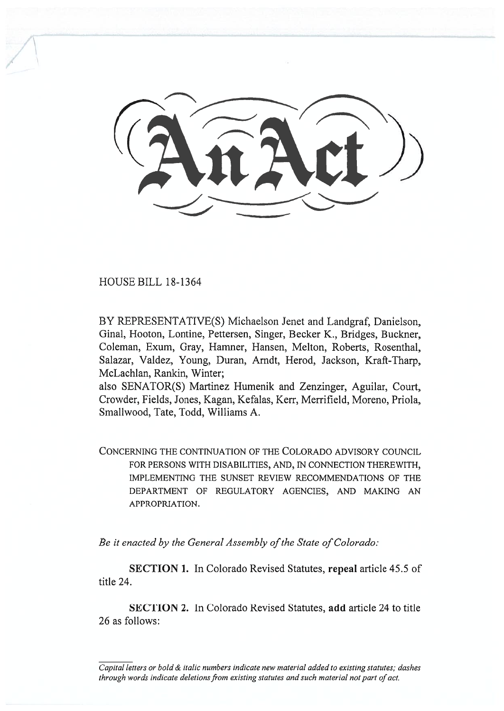HOUSE BILL 18-1364

BY REPRESENTATIVE(S) Michaelson Jenet and Landgraf, Danielson, Ginal, Hooton, Lontine, Pettersen, Singer, Becker K., Bridges, Buckner, Coleman, Exum, Gray, Hamner, Hansen, Melton, Roberts, Rosenthal, Salazar, Valdez, Young, Duran, Arndt, Herod, Jackson, Kraft-Tharp, McLachlan, Rankin, Winter;

also SENATOR(S) Martinez Humenik and Zenzinger, Aguilar, Court, Crowder, Fields, Jones, Kagan, Kefalas, Kerr, Merrifield, Moreno, Priola, Smallwood, Tate, Todd, Williams A.

CONCERNING THE CONTINUATION OF THE COLORADO ADVISORY COUNCIL FOR PERSONS WITH DISABILITIES, AND, IN CONNECTION THEREWITH, IMPLEMENTING THE SUNSET REVIEW RECOMMENDATIONS OF THE DEPARTMENT OF REGULATORY AGENCIES, AND MAKING AN APPROPRIATION.

*Be it enacted by the General Assembly of the State of Colorado:* 

**SECTION 1.** In Colorado Revised Statutes, **repeal** article 45.5 of title 24.

**SECTION 2.** In Colorado Revised Statutes, **add** article 24 to title 26 as follows:

*Capital letters or bold & italic numbers indicate new material added to existing statutes; dashes through words indicate deletions from existing statutes and such material not part of act.*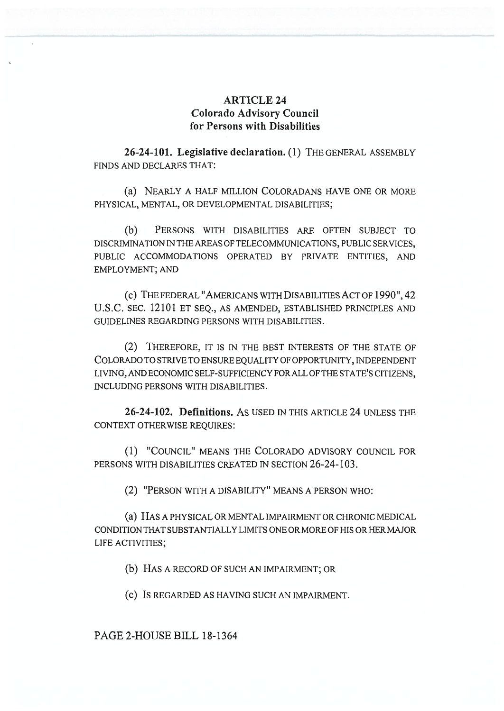## **ARTICLE 24 Colorado Advisory Council for Persons with Disabilities**

**26-24-101. Legislative declaration.** (1) THE GENERAL ASSEMBLY FINDS AND DECLARES THAT:

(a) NEARLY A HALF MILLION COLORADANS HAVE ONE OR MORE PHYSICAL, MENTAL, OR DEVELOPMENTAL DISABILITIES;

(b) PERSONS WITH DISABILITIES ARE OFTEN SUBJECT TO DISCRIMINATION IN THE AREAS OF TELECOMMUNICATIONS, PUBLIC SERVICES, PUBLIC ACCOMMODATIONS OPERATED BY PRIVATE ENTITIES, AND EMPLOYMENT; AND

(c) THE FEDERAL "AMERICANS WITH DISABILITIES ACT OF 1990", 42 U.S.C. SEC. 12101 ET SEQ., AS AMENDED, ESTABLISHED PRINCIPLES AND GUIDELINES REGARDING PERSONS WITH DISABILITIES.

(2) THEREFORE, IT IS IN THE BEST INTERESTS OF THE STATE OF COLORADO TO STRIVE TO ENSURE EQUALITY OF OPPORTUNITY, INDEPENDENT LIVING, AND ECONOMIC SELF-SUFFICIENCY FOR ALL OF THE STATE'S CITIZENS, INCLUDING PERSONS WITH DISABILITIES.

**26-24-102. Definitions.** AS USED IN THIS ARTICLE 24 UNLESS THE CONTEXT OTHERWISE REQUIRES:

(1) "COUNCIL" MEANS THE COLORADO ADVISORY COUNCIL FOR PERSONS WITH DISABILITIES CREATED IN SECTION 26-24-103.

(2) "PERSON WITH A DISABILITY" MEANS A PERSON WHO:

(a) HAS A PHYSICAL OR MENTAL IMPAIRMENT OR CHRONIC MEDICAL CONDITION THAT SUBSTANTIALLY LIMITS ONE OR MORE OF HIS OR HER MAJOR LIFE ACTIVITIES;

(b) HAS A RECORD OF SUCH AN IMPAIRMENT; OR

(c) IS REGARDED AS HAVING SUCH AN IMPAIRMENT.

PAGE 2-HOUSE BILL 18-1364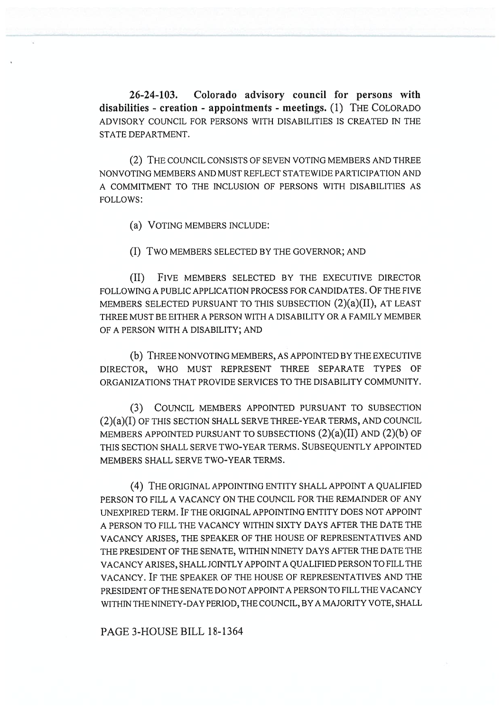**26-24-103. Colorado advisory council for persons with disabilities - creation - appointments - meetings.** (1) THE COLORADO ADVISORY COUNCIL FOR PERSONS WITH DISABILITIES IS CREATED IN THE STATE DEPARTMENT.

(2) THE COUNCIL CONSISTS OF SEVEN VOTING MEMBERS AND THREE NONVOTING MEMBERS AND MUST REFLECT STATEWIDE PARTICIPATION AND A COMMITMENT TO THE INCLUSION OF PERSONS WITH DISABILITIES AS FOLLOWS:

(a) VOTING MEMBERS INCLUDE:

(I) TWO MEMBERS SELECTED BY THE GOVERNOR; AND

(II) FIVE MEMBERS SELECTED BY THE EXECUTIVE DIRECTOR FOLLOWING A PUBLIC APPLICATION PROCESS FOR CANDIDATES. OF THE FIVE MEMBERS SELECTED PURSUANT TO THIS SUBSECTION (2)(a)(II), AT LEAST THREE MUST BE EITHER A PERSON WITH A DISABILITY OR A FAMILY MEMBER OF A PERSON WITH A DISABILITY; AND

(b) THREE NONVOTING MEMBERS, AS APPOINTED BY THE EXECUTIVE DIRECTOR, WHO MUST REPRESENT THREE SEPARATE TYPES OF ORGANIZATIONS THAT PROVIDE SERVICES TO THE DISABILITY COMMUNITY.

(3) COUNCIL MEMBERS APPOINTED PURSUANT TO SUBSECTION (2)(a)(I) OF THIS SECTION SHALL SERVE THREE-YEAR TERMS, AND COUNCIL MEMBERS APPOINTED PURSUANT TO SUBSECTIONS  $(2)(a)(II)$  AND  $(2)(b)$  OF THIS SECTION SHALL SERVE TWO-YEAR TERMS. SUBSEQUENTLY APPOINTED MEMBERS SHALL SERVE TWO-YEAR TERMS.

(4) THE ORIGINAL APPOINTING ENTITY SHALL APPOINT A QUALIFIED PERSON TO FILL A VACANCY ON THE COUNCIL FOR THE REMAINDER OF ANY UNEXPIRED TERM. IF THE ORIGINAL APPOINTING ENTITY DOES NOT APPOINT A PERSON TO FILL THE VACANCY WITHIN SIXTY DAYS AFTER THE DATE THE VACANCY ARISES, THE SPEAKER OF THE HOUSE OF REPRESENTATIVES AND THE PRESIDENT OF THE SENATE, WITHIN NINETY DAYS AFTER THE DATE THE VACANCY ARISES, SHALL JOINTLY APPOINT A QUALIFIED PERSON TO FILL THE VACANCY. IF THE SPEAKER OF THE HOUSE OF REPRESENTATIVES AND THE PRESIDENT OF THE SENATE DO NOT APPOINT A PERSON TO FILL THE VACANCY WITHIN THE NINETY-DAY PERIOD, THE COUNCIL, BY A MAJORITY VOTE, SHALL

PAGE 3-HOUSE BILL 18-1364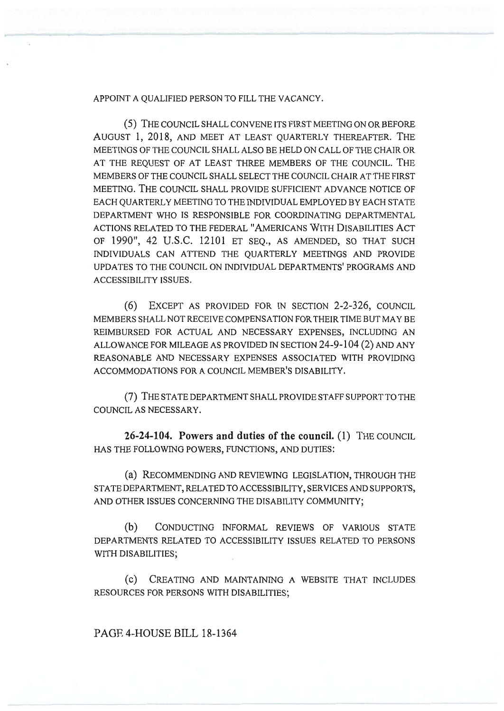## APPOINT A QUALIFIED PERSON TO FILL THE VACANCY.

(5) THE COUNCIL SHALL CONVENE ITS FIRST MEETING ON OR BEFORE AUGUST 1, 2018, AND MEET AT LEAST QUARTERLY THEREAFTER. THE MEETINGS OF THE COUNCIL SHALL ALSO BE HELD ON CALL OF THE CHAIR OR AT THE REQUEST OF AT LEAST THREE MEMBERS OF THE COUNCIL. THE MEMBERS OF THE COUNCIL SHALL SELECT THE COUNCIL CHAIR AT THE FIRST MEETING. THE COUNCIL SHALL PROVIDE SUFFICIENT ADVANCE NOTICE OF EACH QUARTERLY MEETING TO THE INDIVIDUAL EMPLOYED BY EACH STATE DEPARTMENT WHO IS RESPONSIBLE FOR COORDINATING DEPARTMENTAL ACTIONS RELATED TO THE FEDERAL "AMERICANS WITH DISABILITIES ACT OF 1990", 42 U.S.C. 12101 ET SEQ., AS AMENDED, SO THAT SUCH INDIVIDUALS CAN ATTEND THE QUARTERLY MEETINGS AND PROVIDE UPDATES TO THE COUNCIL ON INDIVIDUAL DEPARTMENTS' PROGRAMS AND ACCESSIBILITY ISSUES.

(6) EXCEPT AS PROVIDED FOR IN SECTION 2-2-326, COUNCIL MEMBERS SHALL NOT RECEIVE COMPENSATION FOR THEIR TIME BUT MAY BE REIMBURSED FOR ACTUAL AND NECESSARY EXPENSES, INCLUDING AN ALLOWANCE FOR MILEAGE AS PROVIDED IN SECTION 24-9-104 (2) AND ANY REASONABLE AND NECESSARY EXPENSES ASSOCIATED WITH PROVIDING ACCOMMODATIONS FOR A COUNCIL MEMBER'S DISABILITY.

(7) THE STATE DEPARTMENT SHALL PROVIDE STAFF SUPPORT TO THE COUNCIL AS NECESSARY.

**26-24-104. Powers and duties of the council.** (1) THE COUNCIL HAS THE FOLLOWING POWERS, FUNCTIONS, AND DUTIES:

(a) RECOMMENDING AND REVIEWING LEGISLATION, THROUGH THE STATE DEPARTMENT, RELATED TO ACCESSIBILITY, SERVICES AND SUPPORTS, AND OTHER ISSUES CONCERNING THE DISABILITY COMMUNITY;

(b) CONDUCTING INFORMAL REVIEWS OF VARIOUS STATE DEPARTMENTS RELATED TO ACCESSIBILITY ISSUES RELATED TO PERSONS WITH DISABILITIES;

(C) CREATING AND MAINTAINING A WEBSITE THAT INCLUDES RESOURCES FOR PERSONS WITH DISABILITIES;

PAGE 4-HOUSE BILL 18-1364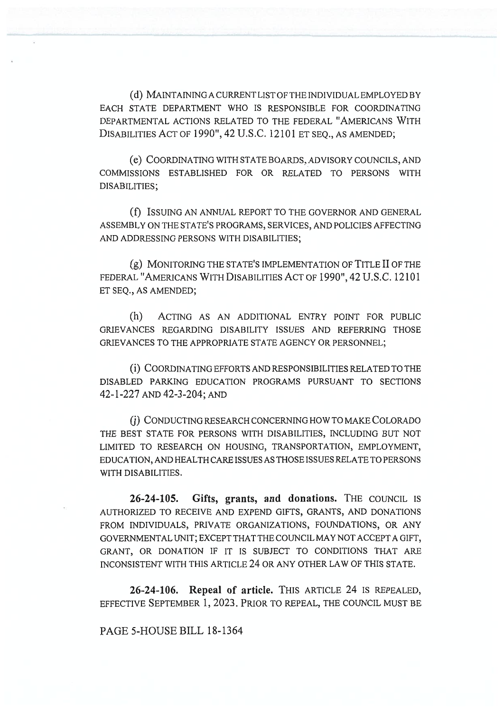(d) MAINTAINING A CURRENT LIST OF THE INDIVIDUAL EMPLOYED BY EACH STATE DEPARTMENT WHO IS RESPONSIBLE FOR COORDINATING DEPARTMENTAL ACTIONS RELATED TO THE FEDERAL "AMERICANS WITH DISABILITIES ACT OF 1990", 42 U.S.C. 12101 ET SEQ., AS AMENDED;

(e) COORDINATING WITH STATE BOARDS, ADVISORY COUNCILS, AND COMMISSIONS ESTABLISHED FOR OR RELATED TO PERSONS WITH DISABILITIES;

(f) ISSUING AN ANNUAL REPORT TO THE GOVERNOR AND GENERAL ASSEMBLY ON THE STATE'S PROGRAMS, SERVICES, AND POLICIES AFFECTING AND ADDRESSING PERSONS WITH DISABILITIES;

(g) MONITORING THE STATE'S IMPLEMENTATION OF TITLE II OF THE FEDERAL "AMERICANS WITH DISABILITIES ACT OF 1990", 42 U.S.C. 12101 ET SEQ., AS AMENDED;

(h) ACTING AS AN ADDITIONAL ENTRY POINT FOR PUBLIC GRIEVANCES REGARDING DISABILITY ISSUES AND REFERRING THOSE GRIEVANCES TO THE APPROPRIATE STATE AGENCY OR PERSONNEL;

(i) COORDINATING EFFORTS AND RESPONSIBILITIES RELATED TO THE DISABLED PARKING EDUCATION PROGRAMS PURSUANT TO SECTIONS 42-1-227 AND 42-3-204; AND

(j) CONDUCTING RESEARCH CONCERNING HOW TO MAKE COLORADO THE BEST STATE FOR PERSONS WITH DISABILITIES, INCLUDING BUT NOT LIMITED TO RESEARCH ON HOUSING, TRANSPORTATION, EMPLOYMENT, EDUCATION, AND HEALTH CARE ISSUES AS THOSE ISSUES RELATE TO PERSONS WITH DISABILITIES.

**26-24-105. Gifts, grants, and donations.** THE COUNCIL IS AUTHORIZED TO RECEIVE AND EXPEND GIFTS, GRANTS, AND DONATIONS FROM INDIVIDUALS, PRIVATE ORGANIZATIONS, FOUNDATIONS, OR ANY GOVERNMENTAL UNIT; EXCEPT THAT THE COUNCIL MAY NOT ACCEPT A GIFT, GRANT, OR DONATION IF IT IS SUBJECT TO CONDITIONS THAT ARE INCONSISTENT WITH THIS ARTICLE 24 OR ANY OTHER LAW OF THIS STATE.

**26-24-106. Repeal of article.** THIS ARTICLE 24 IS REPEALED, EFFECTIVE SEPTEMBER 1, 2023. PRIOR TO REPEAL, THE COUNCIL MUST BE

PAGE 5-HOUSE BILL 18-1364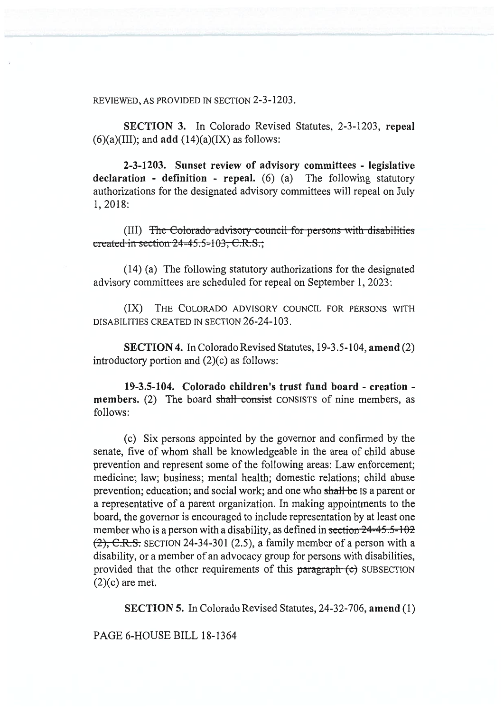REVIEWED, AS PROVIDED IN SECTION 2-3-1203.

**SECTION 3.** In Colorado Revised Statutes, 2-3-1203, **repeal**   $(6)(a)(III)$ ; and **add**  $(14)(a)(IX)$  as follows:

**2-3-1203. Sunset review of advisory committees - legislative declaration - definition - repeal.** (6) (a) The following statutory authorizations for the designated advisory committees will repeal on July 1, 2018:

y council for persons with disabilities created in section  $24 - 45.5 - 103$ , C.R.S.;

(14) (a) The following statutory authorizations for the designated advisory committees are scheduled for repeal on September 1, 2023:

(IX) THE COLORADO ADVISORY COUNCIL FOR PERSONS WITH DISABILITIES CREATED IN SECTION 26-24-103.

**SECTION 4.** In Colorado Revised Statutes, 19-3.5-104, **amend** (2) introductory portion and (2)(c) as follows:

**19-3.5-104. Colorado children's trust fund board - creation members.** (2) The board shall consist CONSISTS of nine members, as follows:

(c) Six persons appointed by the governor and confirmed by the senate, five of whom shall be knowledgeable in the area of child abuse prevention and represent some of the following areas: Law enforcement; medicine; law; business; mental health; domestic relations; child abuse prevention; education; and social work; and one who shall be IS a parent or a representative of a parent organization. In making appointments to the board, the governor is encouraged to include representation by at least one member who is a person with a disability, as defined in section  $24-45.5-102$  $(2)$ , C.R.S. SECTION 24-34-301 (2.5), a family member of a person with a disability, or a member of an advocacy group for persons with disabilities, provided that the other requirements of this paragraph (c) SUBSECTION  $(2)(c)$  are met.

**SECTION 5.** In Colorado Revised Statutes, 24-32-706, **amend** (1)

PAGE 6-HOUSE BILL 18-1364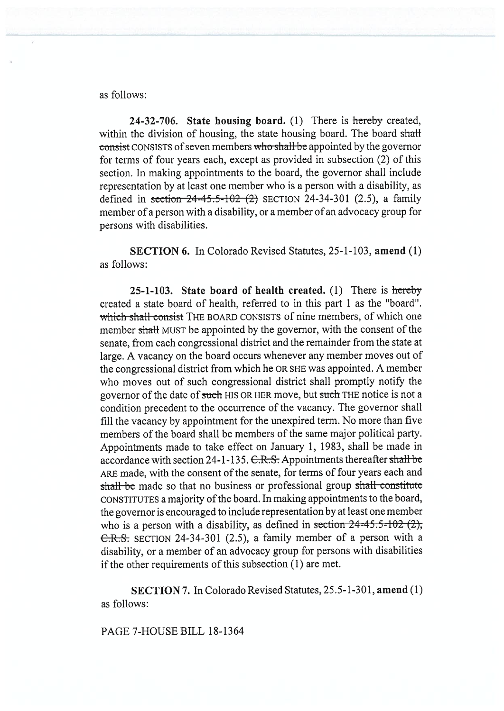## as follows:

24-32-706. State housing board. (1) There is hereby created, within the division of housing, the state housing board. The board shall consist CONSISTS of seven members who shall be appointed by the governor for terms of four years each, except as provided in subsection (2) of this section. In making appointments to the board, the governor shall include representation by at least one member who is a person with a disability, as defined in section  $24-45.5-102$  (2) SECTION 24-34-301 (2.5), a family member of a person with a disability, or a member of an advocacy group for persons with disabilities.

**SECTION** 6. In Colorado Revised Statutes, 25-1-103, **amend** (1) as follows:

**25-1-103. State board of health created.** (1) There is hereby created a state board of health, referred to in this part 1 as the "board". which shall consist THE BOARD CONSISTS of nine members, of which one member shall MUST be appointed by the governor, with the consent of the senate, from each congressional district and the remainder from the state at large. A vacancy on the board occurs whenever any member moves out of the congressional district from which he OR SHE was appointed. A member who moves out of such congressional district shall promptly notify the governor of the date of such HIS OR HER move, but such THE notice is not a condition precedent to the occurrence of the vacancy. The governor shall fill the vacancy by appointment for the unexpired term. No more than five members of the board shall be members of the same major political party. Appointments made to take effect on January 1, 1983, shall be made in accordance with section 24-1-135. C.R.S. Appointments thereafter shall be ARE made, with the consent of the senate, for terms of four years each and shall be made so that no business or professional group shall constitute CONSTITUTES a majority of the board. In making appointments to the board, the governor is encouraged to include representation by at least one member who is a person with a disability, as defined in section  $24-45.5-102(2)$ ; C.R.S. SECTION 24-34-301 (2.5), a family member of a person with a disability, or a member of an advocacy group for persons with disabilities if the other requirements of this subsection (1) are met.

**SECTION** 7. In Colorado Revised Statutes, 25.5-1-301, **amend** (1) as follows:

PAGE 7-HOUSE BILL 18-1364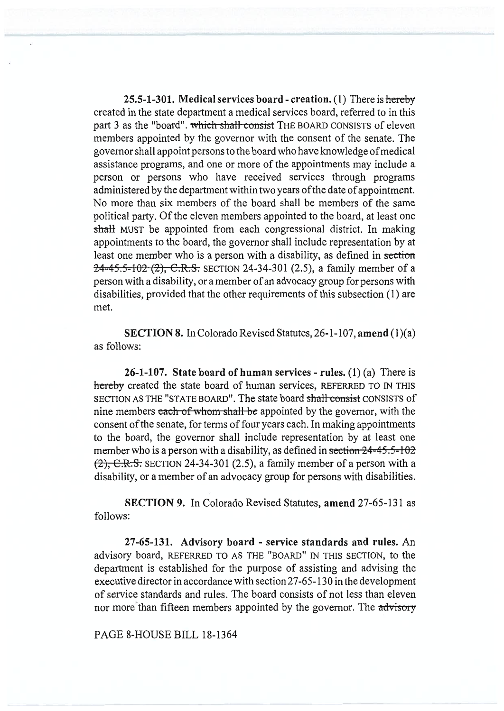25.5-1-301. **Medical services board - creation.** (1) There is hereby created in the state department a medical services board, referred to in this part 3 as the "board". which shall-consist THE BOARD CONSISTS of eleven members appointed by the governor with the consent of the senate. The governor shall appoint persons to the board who have knowledge of medical assistance programs, and one or more of the appointments may include a person or persons who have received services through programs administered by the department within two years of the date of appointment. No more than six members of the board shall be members of the same political party. Of the eleven members appointed to the board, at least one **shall** MUST be appointed from each congressional district. In making appointments to the board, the governor shall include representation by at least one member who is a person with a disability, as defined in section  $24-45.5-102(2)$ , C.R.S. SECTION 24-34-301 (2.5), a family member of a person with a disability, or a member of an advocacy group for persons with disabilities, provided that the other requirements of this subsection (1) are met.

**SECTION 8.** In Colorado Revised Statutes, 26-1-107, **amend (1)(a)**  as follows:

**26-1-107. State board of human services - rules.** (1) (a) There is hereby created the state board of human services, REFERRED TO IN THIS SECTION AS THE "STATE BOARD". The state board shall consist CONSISTS of nine members each of whom shall be appointed by the governor, with the consent of the senate, for terms of four years each. In making appointments to the board, the governor shall include representation by at least one member who is a person with a disability, as defined in section  $24-45.5-102$  $(2)$ , C.R.S. SECTION 24-34-301 (2.5), a family member of a person with a disability, or a member of an advocacy group for persons with disabilities.

**SECTION 9.** In Colorado Revised Statutes, **amend** 27-65-131 as follows:

**27-65-131. Advisory board - service standards and rules.** An advisory board, REFERRED TO AS THE "BOARD" IN THIS SECTION, to the department is established for the purpose of assisting and advising the executive director in accordance with section 27-65-130 in the development of service standards and rules. The board consists of not less than eleven nor more than fifteen members appointed by the governor. The advisory

PAGE 8-HOUSE **BILL** 18-1364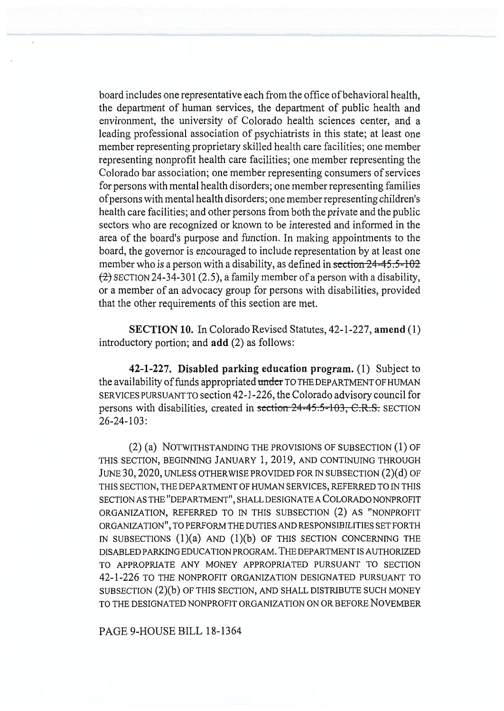board includes one representative each from the office of behavioral health, the department of human services, the department of public health and environment, the university of Colorado health sciences center, and a leading professional association of psychiatrists in this state; at least one member representing proprietary skilled health care facilities; one member representing nonprofit health care facilities; one member representing the Colorado bar association; one member representing consumers of services for persons with mental health disorders; one member representing families ofpersons with mental health disorders; one member representing children's health care facilities; and other persons from both the private and the public sectors who are recognized or known to be interested and informed in the area of the board's purpose and function. In making appointments to the board, the governor is encouraged to include representation by at least one member who is a person with a disability, as defined in section  $24-45.5-102$  $(2)$  SECTION 24-34-301 (2.5), a family member of a person with a disability, or a member of an advocacy group for persons with disabilities, provided that the other requirements of this section are met.

**SECTION 10.** In Colorado Revised Statutes, 42-1-227, **amend** (1) introductory portion; and **add** (2) as follows:

**42-1-227. Disabled parking education program.** (1) Subject to the availability of funds appropriated under TO THE DEPARTMENT OF HUMAN SERVICES PURSUANT TO section 42-1-226, the Colorado advisory council for persons with disabilities, created in section 24-45.5-103, C.R.S. SECTION 26-24-103:

(2) (a) NOTWITHSTANDING THE PROVISIONS OF SUBSECTION (1) OF THIS SECTION, BEGINNING JANUARY 1, 2019, AND CONTINUING THROUGH JUNE 30, 2020, UNLESS OTHERWISE PROVIDED FOR IN SUBSECTION (2)(d) OF THIS SECTION, THE DEPARTMENT OF HUMAN SERVICES, REFERRED TO IN THIS SECTION AS THE "DEPARTMENT", SHALL DESIGNATE A COLORADO NONPROFIT ORGANIZATION, REFERRED TO IN THIS SUBSECTION (2) AS "NONPROFIT ORGANIZATION", TO PERFORM THE DUTIES AND RESPONSIBILITIES SET FORTH IN SUBSECTIONS  $(1)(a)$  and  $(1)(b)$  of this section concerning the DISABLED PARKING EDUCATION PROGRAM. THE DEPARTMENT IS AUTHORIZED TO APPROPRIATE ANY MONEY APPROPRIATED PURSUANT TO SECTION 42-1-226 TO THE NONPROFIT ORGANIZATION DESIGNATED PURSUANT TO SUBSECTION (2)(b) OF THIS SECTION, AND SHALL DISTRIBUTE SUCH MONEY TO THE DESIGNATED NONPROFIT ORGANIZATION ON OR BEFORE NOVEMBER

PAGE 9-HOUSE BILL 18-1364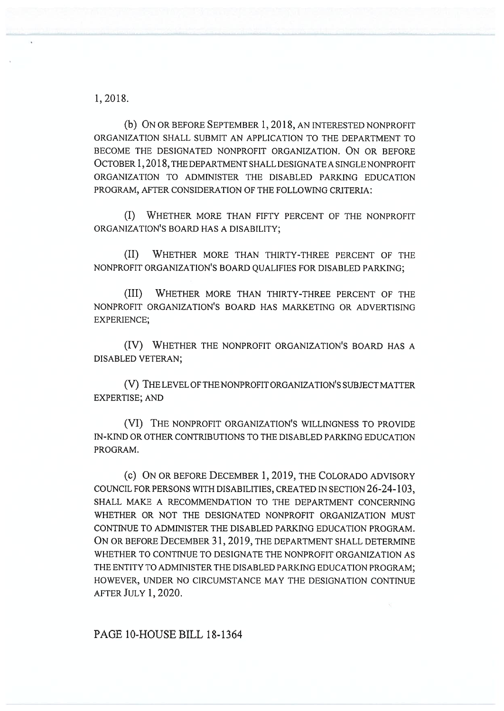1, 2018.

(b) ON OR BEFORE SEPTEMBER 1, 2018, AN INTERESTED NONPROFIT ORGANIZATION SHALL SUBMIT AN APPLICATION TO THE DEPARTMENT TO BECOME THE DESIGNATED NONPROFIT ORGANIZATION. ON OR BEFORE OCTOBER 1, 2018, THE DEPARTMENT SHALL DESIGNATE A SINGLE NONPROFIT ORGANIZATION TO ADMINISTER THE DISABLED PARKING EDUCATION PROGRAM, AFTER CONSIDERATION OF THE FOLLOWING CRITERIA:

(I) WHETHER MORE THAN FIFTY PERCENT OF THE NONPROFIT ORGANIZATION'S BOARD HAS A DISABILITY;

(II) WHETHER MORE THAN THIRTY-THREE PERCENT OF THE NONPROFIT ORGANIZATION'S BOARD QUALIFIES FOR DISABLED PARKING;

(III) WHETHER MORE THAN THIRTY-THREE PERCENT OF THE NONPROFIT ORGANIZATION'S BOARD HAS MARKETING OR ADVERTISING EXPERIENCE;

(IV) WHETHER THE NONPROFIT ORGANIZATION'S BOARD HAS A DISABLED VETERAN;

(V) THE LEVEL OF THE NONPROFIT ORGANIZATION'S SUBJECT MATTER EXPERTISE; AND

(VI) THE NONPROFIT ORGANIZATION'S WILLINGNESS TO PROVIDE IN-KIND OR OTHER CONTRIBUTIONS TO THE DISABLED PARKING EDUCATION PROGRAM.

(c) ON OR BEFORE DECEMBER 1, 2019, THE COLORADO ADVISORY COUNCIL FOR PERSONS WITH DISABILITIES, CREATED IN SECTION 26-24-103, SHALL MAKE A RECOMMENDATION TO THE DEPARTMENT CONCERNING WHETHER OR NOT THE DESIGNATED NONPROFIT ORGANIZATION MUST CONTINUE TO ADMINISTER THE DISABLED PARKING EDUCATION PROGRAM. ON OR BEFORE DECEMBER 31, 2019, THE DEPARTMENT SHALL DETERMINE WHETHER TO CONTINUE TO DESIGNATE THE NONPROFIT ORGANIZATION AS THE ENTITY TO ADMINISTER THE DISABLED PARKING EDUCATION PROGRAM; HOWEVER, UNDER NO CIRCUMSTANCE MAY THE DESIGNATION CONTINUE AFTER JULY 1, 2020.

PAGE 10-HOUSE BILL 18-1364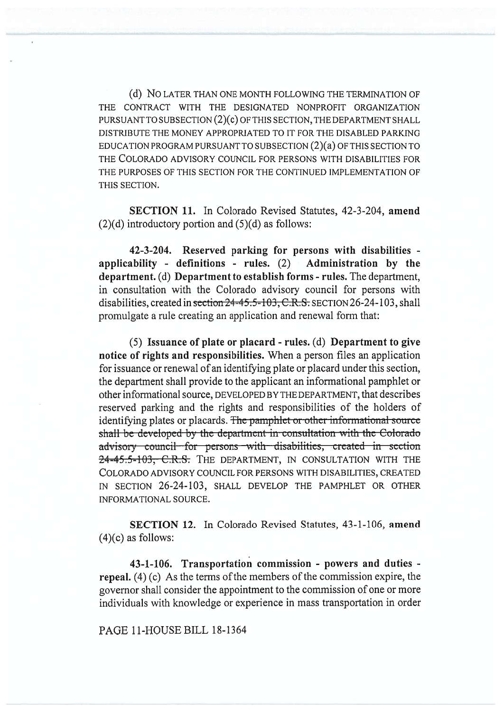(d) NO LATER THAN ONE MONTH FOLLOWING THE TERMINATION OF THE CONTRACT WITH THE DESIGNATED NONPROFIT ORGANIZATION PURSUANT TO SUBSECTION (2)(C) OF THIS SECTION, THE DEPARTMENT SHALL DISTRIBUTE THE MONEY APPROPRIATED TO IT FOR THE DISABLED PARKING EDUCATION PROGRAM PURSUANT TO SUBSECTION (2)(a) OF THIS SECTION TO THE COLORADO ADVISORY COUNCIL FOR PERSONS WITH DISABILITIES FOR THE PURPOSES OF THIS SECTION FOR THE CONTINUED IMPLEMENTATION OF THIS SECTION.

**SECTION 11.** In Colorado Revised Statutes, 42-3-204, **amend**   $(2)(d)$  introductory portion and  $(5)(d)$  as follows:

**42-3-204. Reserved parking for persons with disabilities applicability - definitions - rules.** (2) **Administration by the department.** (d) **Department to establish forms - rules.** The department, in consultation with the Colorado advisory council for persons with disabilities, created in section 24-45.5-103, C.R.S. SECTION 26-24-103, shall promulgate a rule creating an application and renewal form that:

(5) **Issuance of plate or placard - rules.** (d) **Department to give notice of rights and responsibilities.** When a person files an application for issuance or renewal of an identifying plate or placard under this section, the department shall provide to the applicant an informational pamphlet or other informational source, DEVELOPED BY THE DEPARTMENT, that describes reserved parking and the rights and responsibilities of the holders of identifying plates or placards. The pamphlet or other informational source shall be developed by the department in consultation with the Colorado advisory council for persons with disabilities, created in section 24-45.5-103, C.R.S. THE DEPARTMENT, IN CONSULTATION WITH THE COLORADO ADVISORY COUNCIL FOR PERSONS WITH DISABILITIES, CREATED IN SECTION 26-24-103, SHALL DEVELOP THE PAMPHLET OR OTHER INFORMATIONAL SOURCE.

**SECTION 12.** In Colorado Revised Statutes, 43-1-106, **amend**   $(4)(c)$  as follows:

**43-1-106. Transportation commission - powers and duties repeal.** (4) (c) As the terms of the members of the commission expire, the governor shall consider the appointment to the commission of one or more individuals with knowledge or experience in mass transportation in order

PAGE 11-HOUSE BILL 18-1364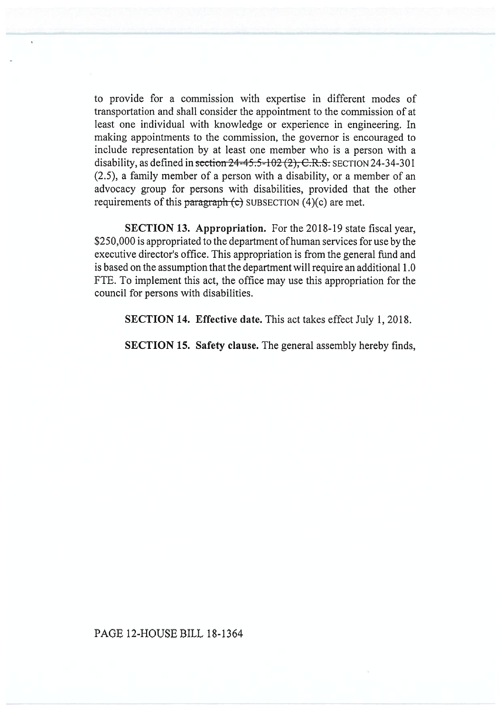to provide for a commission with expertise in different modes of transportation and shall consider the appointment to the commission of at least one individual with knowledge or experience in engineering. In making appointments to the commission, the governor is encouraged to include representation by at least one member who is a person with a disability, as defined in section  $24-45.5-102(2)$ ; C.R.S. SECTION 24-34-301 (2.5), a family member of a person with a disability, or a member of an advocacy group for persons with disabilities, provided that the other requirements of this paragraph  $\left( c \right)$  SUBSECTION (4)(c) are met.

**SECTION 13. Appropriation.** For the 2018-19 state fiscal year, \$250,000 is appropriated to the department of human services for use by the executive director's office. This appropriation is from the general fund and is based on the assumption that the department will require an additional 1.0 FTE. To implement this act, the office may use this appropriation for the council for persons with disabilities.

**SECTION 14. Effective date.** This act takes effect July 1, 2018.

**SECTION 15. Safety clause.** The general assembly hereby finds,